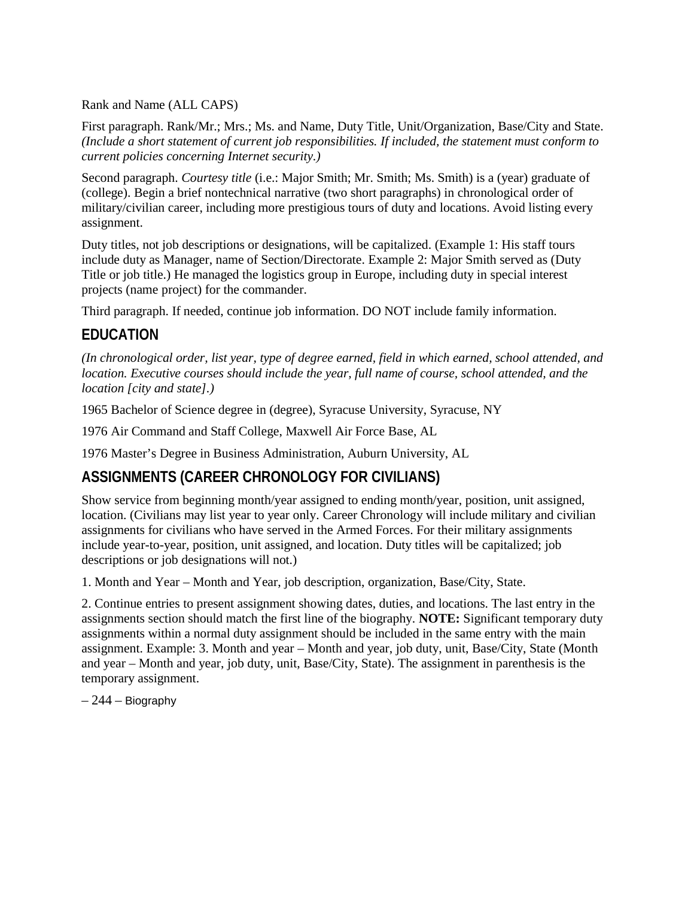Rank and Name (ALL CAPS)

First paragraph. Rank/Mr.; Mrs.; Ms. and Name, Duty Title, Unit/Organization, Base/City and State. *(Include a short statement of current job responsibilities. If included, the statement must conform to current policies concerning Internet security.)*

Second paragraph. *Courtesy title* (i.e.: Major Smith; Mr. Smith; Ms. Smith) is a (year) graduate of (college). Begin a brief nontechnical narrative (two short paragraphs) in chronological order of military/civilian career, including more prestigious tours of duty and locations. Avoid listing every assignment.

Duty titles, not job descriptions or designations, will be capitalized. (Example 1: His staff tours include duty as Manager, name of Section/Directorate. Example 2: Major Smith served as (Duty Title or job title.) He managed the logistics group in Europe, including duty in special interest projects (name project) for the commander.

Third paragraph. If needed, continue job information. DO NOT include family information.

#### **EDUCATION**

*(In chronological order, list year, type of degree earned, field in which earned, school attended, and location. Executive courses should include the year, full name of course, school attended, and the location [city and state].)*

1965 Bachelor of Science degree in (degree), Syracuse University, Syracuse, NY

1976 Air Command and Staff College, Maxwell Air Force Base, AL

1976 Master's Degree in Business Administration, Auburn University, AL

#### **ASSIGNMENTS (CAREER CHRONOLOGY FOR CIVILIANS)**

Show service from beginning month/year assigned to ending month/year, position, unit assigned, location. (Civilians may list year to year only. Career Chronology will include military and civilian assignments for civilians who have served in the Armed Forces. For their military assignments include year-to-year, position, unit assigned, and location. Duty titles will be capitalized; job descriptions or job designations will not.)

1. Month and Year – Month and Year, job description, organization, Base/City, State.

2. Continue entries to present assignment showing dates, duties, and locations. The last entry in the assignments section should match the first line of the biography. **NOTE:** Significant temporary duty assignments within a normal duty assignment should be included in the same entry with the main assignment. Example: 3. Month and year – Month and year, job duty, unit, Base/City, State (Month and year – Month and year, job duty, unit, Base/City, State). The assignment in parenthesis is the temporary assignment.

 $-244$  – Biography